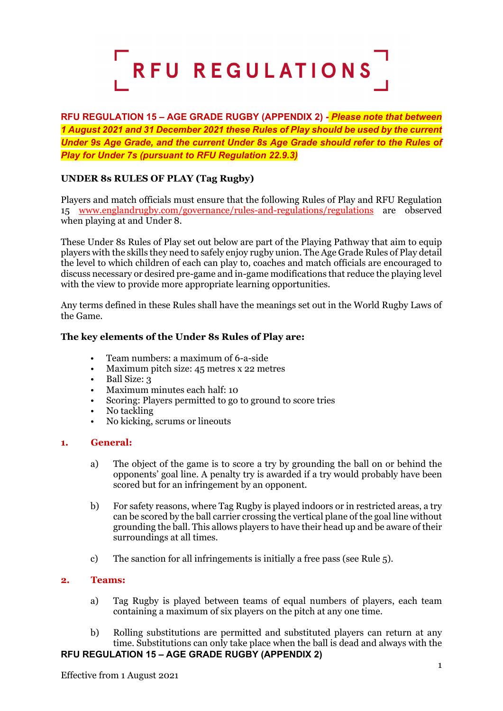

**RFU REGULATION 15 – AGE GRADE RUGBY (APPENDIX 2) -** *Please note that between 1 August 2021 and 31 December 2021 these Rules of Play should be used by the current Under 9s Age Grade, and the current Under 8s Age Grade should refer to the Rules of Play for Under 7s (pursuant to RFU Regulation 22.9.3)*

# **UNDER 8s RULES OF PLAY (Tag Rugby)**

Players and match officials must ensure that the following Rules of Play and RFU Regulation 15 [www.englandrugby.com/governance/rules-and-regulations/regulations](http://www.englandrugby.com/governance/rules-and-regulations/regulations) are observed when playing at and Under 8.

These Under 8s Rules of Play set out below are part of the Playing Pathway that aim to equip players with the skills they need to safely enjoy rugby union. The Age Grade Rules of Play detail the level to which children of each can play to, coaches and match officials are encouraged to discuss necessary or desired pre-game and in-game modifications that reduce the playing level with the view to provide more appropriate learning opportunities.

Any terms defined in these Rules shall have the meanings set out in the World Rugby Laws of the Game.

#### **The key elements of the Under 8s Rules of Play are:**

- Team numbers: a maximum of 6-a-side
- Maximum pitch size: 45 metres x 22 metres
- Ball Size: 3
- Maximum minutes each half: 10
- Scoring: Players permitted to go to ground to score tries
- No tackling
- No kicking, scrums or lineouts

#### **1. General:**

- a) The object of the game is to score a try by grounding the ball on or behind the opponents' goal line. A penalty try is awarded if a try would probably have been scored but for an infringement by an opponent.
- b) For safety reasons, where Tag Rugby is played indoors or in restricted areas, a try can be scored by the ball carrier crossing the vertical plane of the goal line without grounding the ball. This allows players to have their head up and be aware of their surroundings at all times.
- c) The sanction for all infringements is initially a free pass (see Rule 5).

#### **2. Teams:**

- a) Tag Rugby is played between teams of equal numbers of players, each team containing a maximum of six players on the pitch at any one time.
- **RFU REGULATION 15 – AGE GRADE RUGBY (APPENDIX 2)** b) Rolling substitutions are permitted and substituted players can return at any time. Substitutions can only take place when the ball is dead and always with the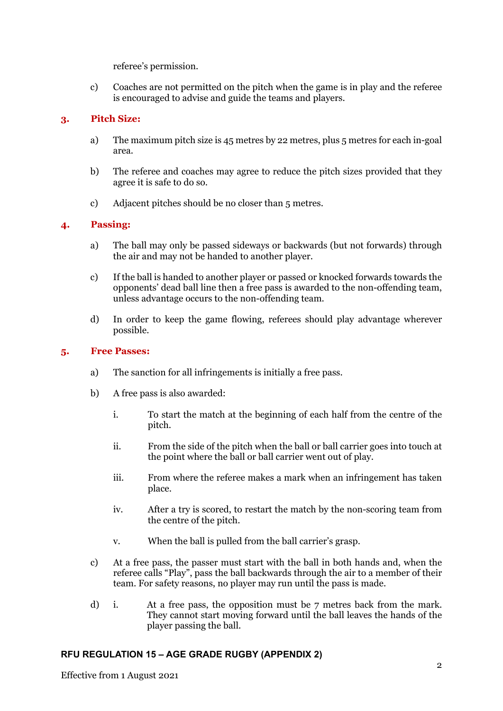referee's permission.

c) Coaches are not permitted on the pitch when the game is in play and the referee is encouraged to advise and guide the teams and players.

# **3. Pitch Size:**

- a) The maximum pitch size is 45 metres by 22 metres, plus 5 metres for each in-goal area.
- b) The referee and coaches may agree to reduce the pitch sizes provided that they agree it is safe to do so.
- c) Adjacent pitches should be no closer than 5 metres.

# **4. Passing:**

- a) The ball may only be passed sideways or backwards (but not forwards) through the air and may not be handed to another player.
- c) If the ball is handed to another player or passed or knocked forwards towards the opponents' dead ball line then a free pass is awarded to the non-offending team, unless advantage occurs to the non-offending team.
- d) In order to keep the game flowing, referees should play advantage wherever possible.

#### **5. Free Passes:**

- a) The sanction for all infringements is initially a free pass.
- b) A free pass is also awarded:
	- i. To start the match at the beginning of each half from the centre of the pitch.
	- ii. From the side of the pitch when the ball or ball carrier goes into touch at the point where the ball or ball carrier went out of play.
	- iii. From where the referee makes a mark when an infringement has taken place.
	- iv. After a try is scored, to restart the match by the non-scoring team from the centre of the pitch.
	- v. When the ball is pulled from the ball carrier's grasp.
- c) At a free pass, the passer must start with the ball in both hands and, when the referee calls "Play", pass the ball backwards through the air to a member of their team. For safety reasons, no player may run until the pass is made.
- d) i. At a free pass, the opposition must be 7 metres back from the mark. They cannot start moving forward until the ball leaves the hands of the player passing the ball.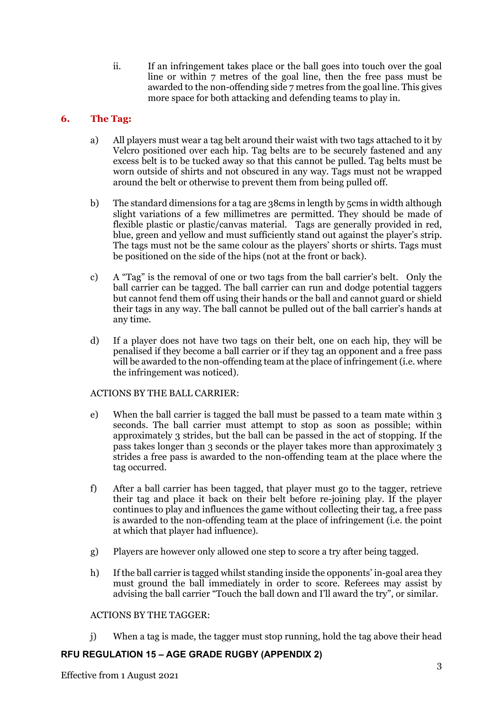ii. If an infringement takes place or the ball goes into touch over the goal line or within 7 metres of the goal line, then the free pass must be awarded to the non-offending side 7 metres from the goal line. This gives more space for both attacking and defending teams to play in.

## **6. The Tag:**

- a) All players must wear a tag belt around their waist with two tags attached to it by Velcro positioned over each hip. Tag belts are to be securely fastened and any excess belt is to be tucked away so that this cannot be pulled. Tag belts must be worn outside of shirts and not obscured in any way. Tags must not be wrapped around the belt or otherwise to prevent them from being pulled off.
- b) The standard dimensions for a tag are 38cms in length by 5cms in width although slight variations of a few millimetres are permitted. They should be made of flexible plastic or plastic/canvas material. Tags are generally provided in red, blue, green and yellow and must sufficiently stand out against the player's strip. The tags must not be the same colour as the players' shorts or shirts. Tags must be positioned on the side of the hips (not at the front or back).
- c) A "Tag" is the removal of one or two tags from the ball carrier's belt. Only the ball carrier can be tagged. The ball carrier can run and dodge potential taggers but cannot fend them off using their hands or the ball and cannot guard or shield their tags in any way. The ball cannot be pulled out of the ball carrier's hands at any time.
- d) If a player does not have two tags on their belt, one on each hip, they will be penalised if they become a ball carrier or if they tag an opponent and a free pass will be awarded to the non-offending team at the place of infringement (i.e. where the infringement was noticed).

## ACTIONS BY THE BALL CARRIER:

- e) When the ball carrier is tagged the ball must be passed to a team mate within 3 seconds. The ball carrier must attempt to stop as soon as possible; within approximately 3 strides, but the ball can be passed in the act of stopping. If the pass takes longer than 3 seconds or the player takes more than approximately 3 strides a free pass is awarded to the non-offending team at the place where the tag occurred.
- f) After a ball carrier has been tagged, that player must go to the tagger, retrieve their tag and place it back on their belt before re-joining play. If the player continues to play and influences the game without collecting their tag, a free pass is awarded to the non-offending team at the place of infringement (i.e. the point at which that player had influence).
- g) Players are however only allowed one step to score a try after being tagged.
- h) If the ball carrier is tagged whilst standing inside the opponents' in-goal area they must ground the ball immediately in order to score. Referees may assist by advising the ball carrier "Touch the ball down and I'll award the try", or similar.

## ACTIONS BY THE TAGGER:

j) When a tag is made, the tagger must stop running, hold the tag above their head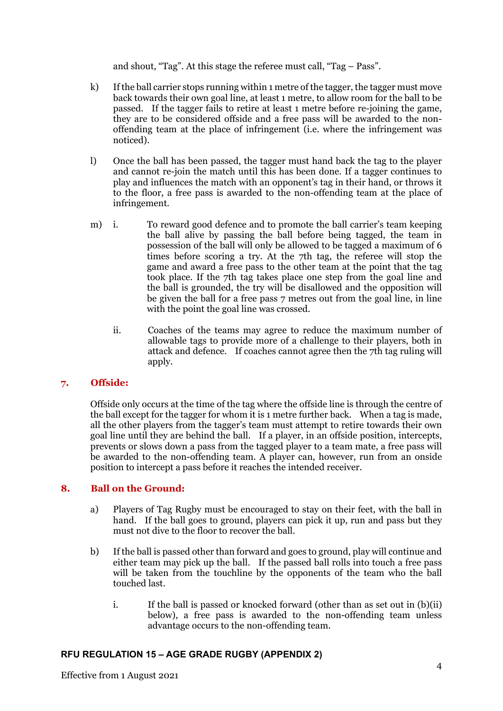and shout, "Tag". At this stage the referee must call, "Tag – Pass".

- k) If the ball carrier stops running within 1 metre of the tagger, the tagger must move back towards their own goal line, at least 1 metre, to allow room for the ball to be passed. If the tagger fails to retire at least 1 metre before re-joining the game, they are to be considered offside and a free pass will be awarded to the nonoffending team at the place of infringement (i.e. where the infringement was noticed).
- l) Once the ball has been passed, the tagger must hand back the tag to the player and cannot re-join the match until this has been done. If a tagger continues to play and influences the match with an opponent's tag in their hand, or throws it to the floor, a free pass is awarded to the non-offending team at the place of infringement.
- m) i. To reward good defence and to promote the ball carrier's team keeping the ball alive by passing the ball before being tagged, the team in possession of the ball will only be allowed to be tagged a maximum of 6 times before scoring a try. At the 7th tag, the referee will stop the game and award a free pass to the other team at the point that the tag took place. If the 7th tag takes place one step from the goal line and the ball is grounded, the try will be disallowed and the opposition will be given the ball for a free pass 7 metres out from the goal line, in line with the point the goal line was crossed.
	- ii. Coaches of the teams may agree to reduce the maximum number of allowable tags to provide more of a challenge to their players, both in attack and defence. If coaches cannot agree then the 7th tag ruling will apply.

# **7. Offside:**

Offside only occurs at the time of the tag where the offside line is through the centre of the ball except for the tagger for whom it is 1 metre further back. When a tag is made, all the other players from the tagger's team must attempt to retire towards their own goal line until they are behind the ball. If a player, in an offside position, intercepts, prevents or slows down a pass from the tagged player to a team mate, a free pass will be awarded to the non-offending team. A player can, however, run from an onside position to intercept a pass before it reaches the intended receiver.

## **8. Ball on the Ground:**

- a) Players of Tag Rugby must be encouraged to stay on their feet, with the ball in hand. If the ball goes to ground, players can pick it up, run and pass but they must not dive to the floor to recover the ball.
- b) If the ball is passed other than forward and goes to ground, play will continue and either team may pick up the ball. If the passed ball rolls into touch a free pass will be taken from the touchline by the opponents of the team who the ball touched last.
	- i. If the ball is passed or knocked forward (other than as set out in (b)(ii) below), a free pass is awarded to the non-offending team unless advantage occurs to the non-offending team.